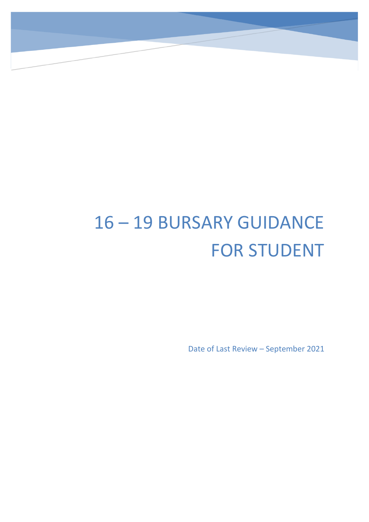# 16 – 19 BURSARY GUIDANCE FOR STUDENT

Date of Last Review – September 2021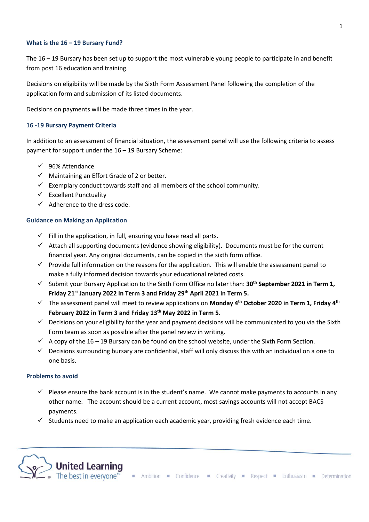#### **What is the 16 – 19 Bursary Fund?**

The 16 – 19 Bursary has been set up to support the most vulnerable young people to participate in and benefit from post 16 education and training.

Decisions on eligibility will be made by the Sixth Form Assessment Panel following the completion of the application form and submission of its listed documents.

Decisions on payments will be made three times in the year.

### **16 -19 Bursary Payment Criteria**

In addition to an assessment of financial situation, the assessment panel will use the following criteria to assess payment for support under the 16 – 19 Bursary Scheme:

- ✓ 96% Attendance
- $\checkmark$  Maintaining an Effort Grade of 2 or better.
- $\checkmark$  Exemplary conduct towards staff and all members of the school community.
- $\checkmark$  Excellent Punctuality
- $\checkmark$  Adherence to the dress code.

#### **Guidance on Making an Application**

- $\checkmark$  Fill in the application, in full, ensuring you have read all parts.
- $\checkmark$  Attach all supporting documents (evidence showing eligibility). Documents must be for the current financial year. Any original documents, can be copied in the sixth form office.
- $\checkmark$  Provide full information on the reasons for the application. This will enable the assessment panel to make a fully informed decision towards your educational related costs.
- ✓ Submit your Bursary Application to the Sixth Form Office no later than: **30th September 2021 in Term 1, Friday 21 st January 2022 in Term 3 and Friday 29th April 2021 in Term 5.**
- ✓ The assessment panel will meet to review applications on **Monday 4 th October 2020 in Term 1, Friday 4 th February 2022 in Term 3 and Friday 13 th May 2022 in Term 5.**
- $\checkmark$  Decisions on your eligibility for the year and payment decisions will be communicated to you via the Sixth Form team as soon as possible after the panel review in writing.
- $\checkmark$  A copy of the 16 19 Bursary can be found on the school website, under the Sixth Form Section.
- $\checkmark$  Decisions surrounding bursary are confidential, staff will only discuss this with an individual on a one to one basis.

## **Problems to avoid**

- $\checkmark$  Please ensure the bank account is in the student's name. We cannot make payments to accounts in any other name. The account should be a current account, most savings accounts will not accept BACS payments.
- $\checkmark$  Students need to make an application each academic year, providing fresh evidence each time.